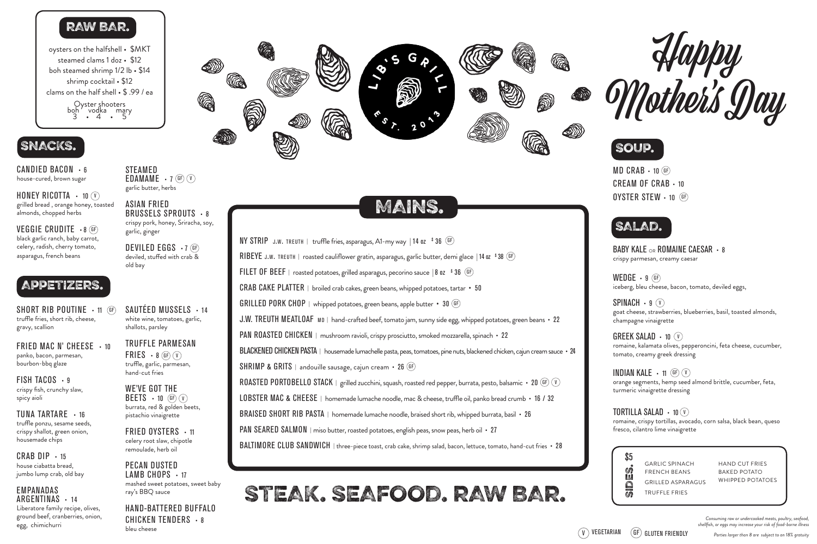GARLIC SPINACH FRENCH BEANS GRILLED ASPARAGUS TRUFFLE FRIES

HAND CUT FRIES BAKED POTATO WHIPPED POTATOES

SHORT RIB POUTINE  $\cdot$  11 (GF) truffle fries, short rib, cheese, gravy, scallion

FRIED MAC N' CHEESE · 10 panko, bacon, parmesan, bourbon-bbq glaze

FISH TACOS  $\cdot$  9 crispy fish, crunchy slaw, spicy aioli

CRAB DIP  $\cdot$  15 house ciabatta bread, jumbo lump crab, old bay

TUNA TARTARE • 16 truffle ponzu, sesame seeds, crispy shallot, green onion, housemade chips

FRIED OYSTERS  $\cdot$  11 celery root slaw, chipotle remoulade, herb oil

#### EMPANADAS ARGENTINAS • 14

Liberatore family recipe, olives, ground beef, cranberries, onion, egg, chimichurri

 $MD$  CRAB  $\cdot$  10 GF) CREAM OF CRAB • 10 OYSTER STEW • 10 GF

oysters on the halfshell • \$MKT steamed clams 1 doz • \$12 boh steamed shrimp 1/2 lb • \$14 shrimp cocktail • \$12 clams on the half shell • \$ .99 / ea Oyster shooters<br>boh vodka mary

> SAUTÉED MUSSELS • 14 white wine, tomatoes, garlic, shallots, parsley

TRUFFLE PARMESAN FRIES  $\cdot$  8 GF  $\mathcal{N}$ truffle, garlic, parmesan, hand-cut fries

HONEY RICOTTA  $\cdot$  10  $\hat{v}$ ) grilled bread , orange honey, toasted almonds, chopped herbs

> WE'VE GOT THE  $BEETS - 10$  GF  $\hat{v}$ burrata, red & golden beets, pistachio vinaigrette

VEGGIE CRUDITE · 8 GF black garlic ranch, baby carrot, celery, radish, cherry tomato, asparagus, french beans

**STEAMED** EDAMAME  $\cdot$  7 GF  $\hat{v}$ garlic butter, herbs

DEVILED EGGS · 7 GF deviled, stuffed with crab & old bay

BABY KALE <sub>OR</sub> ROMAINE CAESAR · 8 crispy parmesan, creamy caesar

PECAN DUSTED LAMB CHOPS · 17 mashed sweet potatoes, sweet baby ray's BBQ sauce

WEDGE  $\cdot$  9 (GF) iceberg, bleu cheese, bacon, tomato, deviled eggs,

SPINACH  $\cdot$  9  $\circ$ goat cheese, strawberries, blueberries, basil, toasted almonds, champagne vinaigrette

HAND-BATTERED BUFFALO CHICKEN TENDERS · 8 bleu cheese



GREEK SALAD • 10  $\circ$ romaine, kalamata olives, pepperoncini, feta cheese, cucumber, tomato, creamy greek dressing

# STEAK. SEAFOOD. RAW BAR.





**INDIAN KALE • 11 GF**  $(\nu)$ orange segments, hemp seed almond brittle, cucumber, feta, turmeric vinaigrette dressing

## TORTILLA SALAD  $\cdot$  10  $\hat{V}$

# APPETIZERS.

# SNACKS.

3 • 4 • 5

CANDIED BACON • 6 house-cured, brown sugar

> ASIAN FRIED BRUSSELS SPROUTS · 8 crispy pork, honey, Sriracha, soy, garlic, ginger

> > romaine, crispy tortillas, avocado, corn salsa, black bean, queso fresco, cilantro lime vinaigrette





*Consuming raw or undercooked meats, poultry, seafood, shellfish, or eggs may increase your risk of food-borne illness*





# RAW BAR.

# MAINS.

<code>NY STRIP</code> <code> J.W. TREUTH | truffle fries, asparagus, A1-my way | 14 oz  $\,$   $\,$   $\,$   $\,$  36  $\,$   $\,$  GF  $\,$ </code> RIBEYE j.w. treuth | roasted cauliflower gratin, asparagus, garlic butter, demi glace | 14 oz \$ 38GF <code>FILET OF BEEF</code>  $\mid$  roasted potatoes, grilled asparagus, pecorino sauce  $\mid$  8 oz  $\mid$   $^{\tiny 8}$  36  $\mid$  GF CRAB CAKE PLATTER | broiled crab cakes, green beans, whipped potatoes, tartar • 50 GRILLED PORK CHOP | whipped potatoes, green beans, apple butter • 30 GF) J.W. TREUTH MEATLOAF MD | hand-crafted beef, tomato jam, sunny side egg, whipped potatoes, green beans • 22 PAN ROASTED CHICKEN | mushroom ravioli, crispy prosciutto, smoked mozzarella, spinach • 22 BLACKENED CHICKEN PASTA | housemade lumachelle pasta, peas, tomatoes, pine nuts, blackened chicken, cajun cream sauce • 24 SHRIMP & GRITS | andouille sausage, cajun cream • 26 GF) ROASTED PORTOBELLO STACK | grilled zucchini, squash, roasted red pepper, burrata, pesto, balsamic • 20 (GF) (V) LOBSTER MAC & CHEESE | homemade lumache noodle, mac & cheese, truffle oil, panko bread crumb • 16 / 32 BRAISED SHORT RIB PASTA | homemade lumache noodle, braised short rib, whipped burrata, basil • 26 PAN SEARED SALMON | miso butter, roasted potatoes, english peas, snow peas, herb oil • 27 BALTIMORE CLUB SANDWICH | three-piece toast, crab cake, shrimp salad, bacon, lettuce, tomato, hand-cut fries • 28